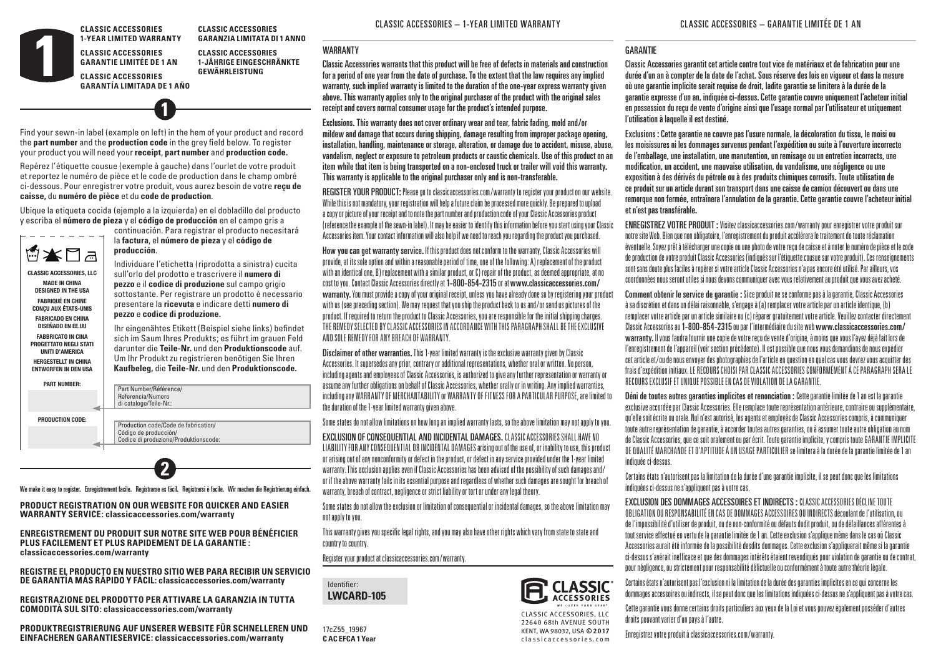**CLASSIC ACCESSORIES 1-YEAR LIMITED WARRANTY** **CLASSIC ACCESSORIES GARANZIA LIMITATA DI 1 ANNO**

**CLASSIC ACCESSORIES GARANTIE LIMITÉE DE 1 AN CLASSIC ACCESSORIES**

**CLASSIC ACCESSORIES 1-JÄHRIGE EINGESCHRÄNKTE GEWÄHRLEISTUNG**

**GARANTÍA LIMITADA DE 1 AÑO**

Find your sewn-in label (example on left) in the hem of your product and record the **part number** and the **production code** in the grey field below. To register your product you will need your **receipt**, **part number** and **production code.**

**1**

Repérez l'étiquette cousue (exemple à gauche) dans l'ourlet de votre produit et reportez le numéro de pièce et le code de production dans le champ ombré ci-dessous. Pour enregistrer votre produit, vous aurez besoin de votre **reçu de caisse,** du **numéro de pièce** et du **code de production**.

Ubique la etiqueta cocida (ejemplo a la izquierda) en el dobladillo del producto **FOC5\_0001** y escriba el **número de pieza** y el **código de producción** en el campo gris a **FOC5\_0001**



**MADE IN CHINA DESIGNED IN THE USA FABRIQUÉ EN CHINE CONÇU AUX ÉTATS-UNIS FABRICADO EN CHINA DISEÑADO EN EE.UU FABBRICATO IN CINA PROGETTATO NEGLI STATI UNITI D'AMERICA HERGESTELLT IN CHINA ENTWORFEN IN DEN USA**

100% WOVEN POLYESTER

**1**

continuación. Para registrar el producto necesitará **la factura**, el número de pieza y el código de **producción**.

Individuare l'etichetta (riprodotta a sinistra) cucita sull'orlo del prodotto e trascrivere il **numero di pezzo** e il **codice di produzione** sul campo grigio **contra contra contra la contra di politica politica politica**<br>Di contra contra contra la magnetia di contra contra la contra di contra contra la contra la contra la con sottostante. Per registrare un prodotto è necessario presentare la **ricevuta** e indicare detti **numero di pezzo** e **codice di produzione.**

Ihr eingenähtes Etikett (Beispiel siehe links) befindet sich im Saum Ihres Produkts; es führt im grauen Feld darunter die **Teile-Nr.** und den **Produktionscode** auf. Um Ihr Produkt zu registrieren benötigen Sie Ihren **Kaufbeleg,** die **Teile-Nr.** und den **Produktionscode.** 11/04/16



**2** .<br>We make it easy to register. Enregistrement facile. Registrarse es fácil. Registrarsi è facile. Wir machen die Registrierung einfach. **CARE INSTRUCTIONS:** HAND

PRODUCT REGISTRATION ON OUR WEBSITE FOR QUICKER AND EASIER **FRODOCT REGISTRATION ON OOR WEBSITE FOR QUICKE**<br>WARRANTY SERVICE: classicaccessories.com/warranty

#### **ENREGISTREMENT DU PRODUIT SUR NOTRE SITE WEB POUR BÉNÉFICIER**  ENNEGISTINEMENT DO PRODOIT SON NOTHE SITE WEB POOK<br>PLUS FACILEMENT ET PLUS RAPIDEMENT DE LA GARANTIE : classicaccessories.com/warranty

.<br>Registre el producțo en nuestro sitio web para recibir un servicio DE GARANTÍA MÁS RÁPIDO Y FÁCIL: classicaccessories.com/warranty

.<br>REGISTRAZIONE DEL PRODOTTO PER ATTIVARE LA GARANZIA IN TUTTA **COMODITÀ SUL SITO: classicaccessories.com/warranty COMPOSICIÓN:**

PRODUKTREGISTRIERUNG AUF UNSERER WEBSITE FÜR SCHNELLEREN UND **EINFACHEREN GARANTIESERVICE: classicaccessories.com/warranty** 

# WARRANTY

Classic Accessories warrants that this product will be free of defects in materials and construction for a period of one year from the date of purchase. To the extent that the law requires any implied warranty, such implied warranty is limited to the duration of the one-year express warranty given above. This warranty applies only to the original purchaser of the product with the original sales receipt and covers normal consumer usage for the product's intended purpose.

Exclusions. This warranty does not cover ordinary wear and tear, fabric fading, mold and/or mildew and damage that occurs during shipping, damage resulting from improper package opening, installation, handling, maintenance or storage, alteration, or damage due to accident, misuse, abuse, vandalism, neglect or exposure to petroleum products or caustic chemicals. Use of this product on an item while that item is being transported on a non-enclosed truck or trailer will void this warranty. This warranty is applicable to the original purchaser only and is non-transferable.

REGISTER YOUR PRODUCT:Please go to classicaccessories.com/warranty to register your product on our website. While this is not mandatory, your registration will help a future claim be processed more quickly. Be prepared to upload a copy or picture of your receipt and to note the part number and production code of your Classic Accessories product (reference the example of the sewn-in label). It may be easier to identify this information before you start using your Classic Accessories item. Your contact information will also help if we need to reach you regarding the product you purchased.

How you can get warranty service. If this product does not conform to the warranty, Classic Accessories will provide, at its sole option and within a reasonable period of time, one of the following: A) replacement of the product with an identical one, B) replacement with a similar product, or C) repair of the product, as deemed appropriate, at no cost to you. Contact Classic Accessories directly at 1-800-854-2315 or at www.classicaccessories.com/ warranty. You must provide a copy of your original receipt, unless you have already done so by registering your product with us (see preceding section). We may request that you ship the product back to us and/or send us pictures of the Care Instructions: Hand wash with warm water. Do not use soap and/or detergent. product. If required to return the product to Classic Accessories, you are responsible for the initial shipping charges. THE REMEDY SELECTED BY CLASSIC ACCESSORIES IN ACCORDANCE WITH THIS PARAGRAPH SHALL BE THE EXCLUSIVE AND SOLE REMEDY FOR ANY BREACH OF WARRANTY.

> Disclaimer of other warranties. This 1-year limited warranty is the exclusive warranty given by Classic Accessories. It supersedes any prior, contrary or additional representations, whether oral or written. No person, including agents and employees of Classic Accessories, is authorized to give any further representation or warranty or assume any further obligations on behalf of Classic Accessories, whether orally or in writing. Any implied warranties, including any WARRANTY OF MERCHANTABILITY or WARRANTY OF FITNESS FOR A PARTICULAR PURPOSE, are limited to the duration of the 1-year limited warranty given above.

> Some states do not allow limitations on how long an implied warranty lasts, so the above limitation may not apply to you.

EXCLUSION OF CONSEQUENTIAL AND INCIDENTAL DAMAGES. CLASSIC ACCESSORIES SHALL HAVE NO LIABILITY FOR ANY CONSEQUENTIAL OR INCIDENTAL DAMAGES arising out of the use of, or inability to use, this product or arising out of any nonconformity or defect in the product, or defect in any service provided under the 1-year limited warranty. This exclusion applies even if Classic Accessories has been advised of the possibility of such damages and/ or if the above warranty fails in its essential purpose and regardless of whether such damages are sought for breach of warranty, breach of contract, negligence or strict liability or tort or under any legal theory.

Some states do not allow the exclusion or limitation of consequential or incidental damages, so the above limitation may not apply to you.

This warranty gives you specific legal rights, and you may also have other rights which vary from state to state and country to country.

Register your product at classicaccessories.com/warranty.



17cZ55\_19967 **C AC EFCA 1 Year**



### **GARANTIF**

Classic Accessories garantit cet article contre tout vice de matériaux et de fabrication pour une durée d'un an à compter de la date de l'achat. Sous réserve des lois en vigueur et dans la mesure où une garantie implicite serait requise de droit, ladite garantie se limitera à la durée de la garantie expresse d'un an, indiquée ci-dessus. Cette garantie couvre uniquement l'acheteur initial en possession du reçu de vente d'origine ainsi que l'usage normal par l'utilisateur et uniquement l'utilisation à laquelle il est destiné.

Exclusions : Cette garantie ne couvre pas l'usure normale, la décoloration du tissu, le moisi ou les moisissures ni les dommages survenus pendant l'expédition ou suite à l'ouverture incorrecte de l'emballage, une installation, une manutention, un remisage ou un entretien incorrects, une modification, un accident, une mauvaise utilisation, du vandalisme, une négligence ou une exposition à des dérivés du pétrole ou à des produits chimiques corrosifs. Toute utilisation de ce produit sur un article durant son transport dans une caisse de camion découvert ou dans une remorque non fermée, entraînera l'annulation de la garantie. Cette garantie couvre l'acheteur initial et n'est pas transférable.

ENREGISTREZ VOTRE PRODUIT : Visitez classicaccessories.com/warranty pour enregistrer votre produit sur notre site Web. Bien que non obligatoire, l'enregistrement du produit accélérera le traitement de toute réclamation éventuelle. Soyez prêt à télécharger une copie ou une photo de votre reçu de caisse et à noter le numéro de pièce et le code de production de votre produit Classic Accessories (indiqués sur l'étiquette cousue sur votre produit). Ces renseignements sont sans doute plus faciles à repérer si votre article Classic Accessories n'a pas encore été utilisé. Par ailleurs, vos coordonnées nous seront utiles si nous devons communiquer avec vous relativement au produit que vous avez acheté.

Comment obtenir le service de garantie : Si ce produit ne se conforme pas à la garantie, Classic Accessories à sa discrétion et dans un délai raisonnable, s'engage à (a) remplacer votre article par un article identique, (b) remplacer votre article par un article similaire ou (c) réparer gratuitement votre article. Veuillez contacter directement Classic Accessories au 1-800-854-2315 ou par l'intermédiaire du site web www.classicaccessories.com/ warranty. Il vous faudra fournir une copie de votre reçu de vente d'origine, à moins que vous l'ayez déjà fait lors de l'enregistrement de l'appareil (voir section précédente). Il est possible que nous vous demandions de nous expédier cet article et/ou de nous envoyer des photographies de l'article en question en quel cas vous devrez vous acquitter des frais d'expédition initiaux. LE RECOURS CHOISI PAR CLASSIC ACCESSORIES CONFORMÉMENT À CE PARAGRAPH SERA LE RECOURS EXCLUSIF ET UNIQUE POSSIBLE EN CAS DE VIOLATION DE LA GARANTIE.

Déni de toutes autres garanties implicites et renonciation : Cette garantie limitée de 1 an est la garantie exclusive accordée par Classic Accessories. Elle remplace toute représentation antérieure, contraire ou supplémentaire, qu'elle soit écrite ou orale. Nul n'est autorisé, les agents et employés de Classic Accessories compris, à communiquer toute autre représentation de garantie, à accorder toutes autres garanties, ou à assumer toute autre obligation au nom de Classic Accessories, que ce soit oralement ou par écrit. Toute garantie implicite, y compris toute GARANTIE IMPLICITE DE QUALITÉ MARCHANDE ET D'APTITUDE À UN USAGE PARTICULIER se limitera à la durée de la garantie limitée de 1 an indiquée ci-dessus.

Certains états n'autorisent pas la limitation de la durée d'une garantie implicite, il se peut donc que les limitations indiquées ci-dessus ne s'appliquent pas à votre cas.

EXCLUSION DES DOMMAGES ACCESSOIRES ET INDIRECTS : CLASSIC ACCESSORIES DÉCLINE TOUTE OBLIGATION OU RESPONSABILITÉ EN CAS DE DOMMAGES ACCESSOIRES OU INDIRECTS découlant de l'utilisation, ou de l'impossibilité d'utiliser de produit, ou de non-conformité ou défauts dudit produit, ou de défaillances afférentes à tout service effectué en vertu de la garantie limitée de 1 an. Cette exclusion s'applique même dans le cas où Classic Accessories aurait été informée de la possibilité desdits dommages. Cette exclusion s'appliquerait même si la garantie ci-dessus s'avérait inefficace et que des dommages intérêts étaient revendiqués pour violation de garantie ou de contrat, pour négligence, ou strictement pour responsabilité délictuelle ou conformément à toute autre théorie légale.

Certains états n'autorisent pas l'exclusion ni la limitation de la durée des garanties implicites en ce qui concerne les dommages accessoires ou indirects, il se peut donc que les limitations indiquées ci-dessus ne s'appliquent pas à votre cas.

Cette garantie vous donne certains droits particuliers aux yeux de la Loi et vous pouvez également posséder d'autres droits pouvant varier d'un pays à l'autre.

Enregistrez votre produit à classicaccessories.com/warranty.

**ACCESSORIES** CLASSIC ACCESSORIES, LLC

22640 68th AVENUE SOUTH KENT, WA 98032, USA **© 2017** c l a s s i c a c c essories .com

CLASSIC